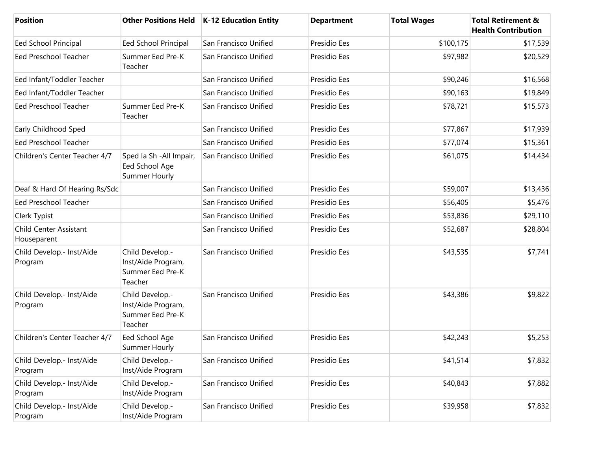| <b>Position</b>                       |                                                                      | Other Positions Held   K-12 Education Entity | <b>Department</b> | <b>Total Wages</b> | <b>Total Retirement &amp;</b><br><b>Health Contribution</b> |
|---------------------------------------|----------------------------------------------------------------------|----------------------------------------------|-------------------|--------------------|-------------------------------------------------------------|
| Eed School Principal                  | <b>Eed School Principal</b>                                          | San Francisco Unified                        | Presidio Ees      | \$100,175          | \$17,539                                                    |
| <b>Eed Preschool Teacher</b>          | Summer Eed Pre-K<br>Teacher                                          | San Francisco Unified                        | Presidio Ees      | \$97,982           | \$20,529                                                    |
| Eed Infant/Toddler Teacher            |                                                                      | San Francisco Unified                        | Presidio Ees      | \$90,246           | \$16,568                                                    |
| Eed Infant/Toddler Teacher            |                                                                      | San Francisco Unified                        | Presidio Ees      | \$90,163           | \$19,849                                                    |
| Eed Preschool Teacher                 | Summer Eed Pre-K<br>Teacher                                          | San Francisco Unified                        | Presidio Ees      | \$78,721           | \$15,573                                                    |
| Early Childhood Sped                  |                                                                      | San Francisco Unified                        | Presidio Ees      | \$77,867           | \$17,939                                                    |
| <b>Eed Preschool Teacher</b>          |                                                                      | San Francisco Unified                        | Presidio Ees      | \$77,074           | \$15,361                                                    |
| Children's Center Teacher 4/7         | Sped la Sh - All Impair,<br>Eed School Age<br>Summer Hourly          | San Francisco Unified                        | Presidio Ees      | \$61,075           | \$14,434                                                    |
| Deaf & Hard Of Hearing Rs/Sdc         |                                                                      | San Francisco Unified                        | Presidio Ees      | \$59,007           | \$13,436                                                    |
| <b>Eed Preschool Teacher</b>          |                                                                      | San Francisco Unified                        | Presidio Ees      | \$56,405           | \$5,476                                                     |
| Clerk Typist                          |                                                                      | San Francisco Unified                        | Presidio Ees      | \$53,836           | \$29,110                                                    |
| Child Center Assistant<br>Houseparent |                                                                      | San Francisco Unified                        | Presidio Ees      | \$52,687           | \$28,804                                                    |
| Child Develop.- Inst/Aide<br>Program  | Child Develop.-<br>Inst/Aide Program,<br>Summer Eed Pre-K<br>Teacher | San Francisco Unified                        | Presidio Ees      | \$43,535           | \$7,741                                                     |
| Child Develop.- Inst/Aide<br>Program  | Child Develop.-<br>Inst/Aide Program,<br>Summer Eed Pre-K<br>Teacher | San Francisco Unified                        | Presidio Ees      | \$43,386           | \$9,822                                                     |
| Children's Center Teacher 4/7         | Eed School Age<br>Summer Hourly                                      | San Francisco Unified                        | Presidio Ees      | \$42,243           | \$5,253                                                     |
| Child Develop.- Inst/Aide<br>Program  | Child Develop.-<br>Inst/Aide Program                                 | San Francisco Unified                        | Presidio Ees      | \$41,514           | \$7,832                                                     |
| Child Develop.- Inst/Aide<br>Program  | Child Develop.-<br>Inst/Aide Program                                 | San Francisco Unified                        | Presidio Ees      | \$40,843           | \$7,882                                                     |
| Child Develop.- Inst/Aide<br>Program  | Child Develop .-<br>Inst/Aide Program                                | San Francisco Unified                        | Presidio Ees      | \$39,958           | \$7,832                                                     |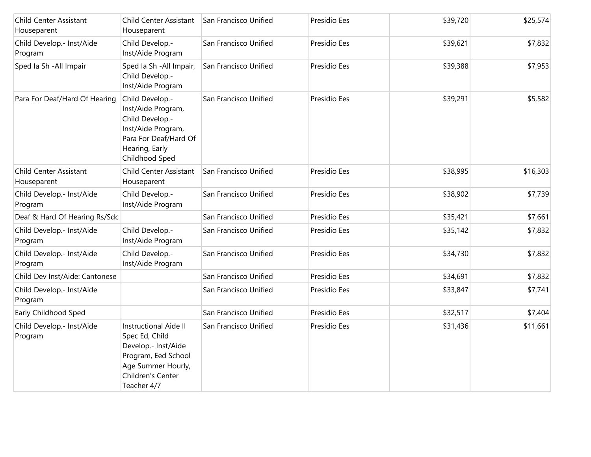| Child Center Assistant<br>Houseparent | Child Center Assistant<br>Houseparent                                                                                                                  | San Francisco Unified | Presidio Ees | \$39,720 | \$25,574 |
|---------------------------------------|--------------------------------------------------------------------------------------------------------------------------------------------------------|-----------------------|--------------|----------|----------|
| Child Develop.- Inst/Aide<br>Program  | Child Develop.-<br>Inst/Aide Program                                                                                                                   | San Francisco Unified | Presidio Ees | \$39,621 | \$7,832  |
| Sped Ia Sh - All Impair               | Sped Ia Sh - All Impair,<br>Child Develop.-<br>Inst/Aide Program                                                                                       | San Francisco Unified | Presidio Ees | \$39,388 | \$7,953  |
| Para For Deaf/Hard Of Hearing         | Child Develop .-<br>Inst/Aide Program,<br>Child Develop.-<br>Inst/Aide Program,<br>Para For Deaf/Hard Of<br>Hearing, Early<br>Childhood Sped           | San Francisco Unified | Presidio Ees | \$39,291 | \$5,582  |
| Child Center Assistant<br>Houseparent | <b>Child Center Assistant</b><br>Houseparent                                                                                                           | San Francisco Unified | Presidio Ees | \$38,995 | \$16,303 |
| Child Develop.- Inst/Aide<br>Program  | Child Develop.-<br>Inst/Aide Program                                                                                                                   | San Francisco Unified | Presidio Ees | \$38,902 | \$7,739  |
| Deaf & Hard Of Hearing Rs/Sdc         |                                                                                                                                                        | San Francisco Unified | Presidio Ees | \$35,421 | \$7,661  |
| Child Develop.- Inst/Aide<br>Program  | Child Develop.-<br>Inst/Aide Program                                                                                                                   | San Francisco Unified | Presidio Ees | \$35,142 | \$7,832  |
| Child Develop.- Inst/Aide<br>Program  | Child Develop.-<br>Inst/Aide Program                                                                                                                   | San Francisco Unified | Presidio Ees | \$34,730 | \$7,832  |
| Child Dev Inst/Aide: Cantonese        |                                                                                                                                                        | San Francisco Unified | Presidio Ees | \$34,691 | \$7,832  |
| Child Develop.- Inst/Aide<br>Program  |                                                                                                                                                        | San Francisco Unified | Presidio Ees | \$33,847 | \$7,741  |
| Early Childhood Sped                  |                                                                                                                                                        | San Francisco Unified | Presidio Ees | \$32,517 | \$7,404  |
| Child Develop.- Inst/Aide<br>Program  | <b>Instructional Aide II</b><br>Spec Ed, Child<br>Develop.- Inst/Aide<br>Program, Eed School<br>Age Summer Hourly,<br>Children's Center<br>Teacher 4/7 | San Francisco Unified | Presidio Ees | \$31,436 | \$11,661 |